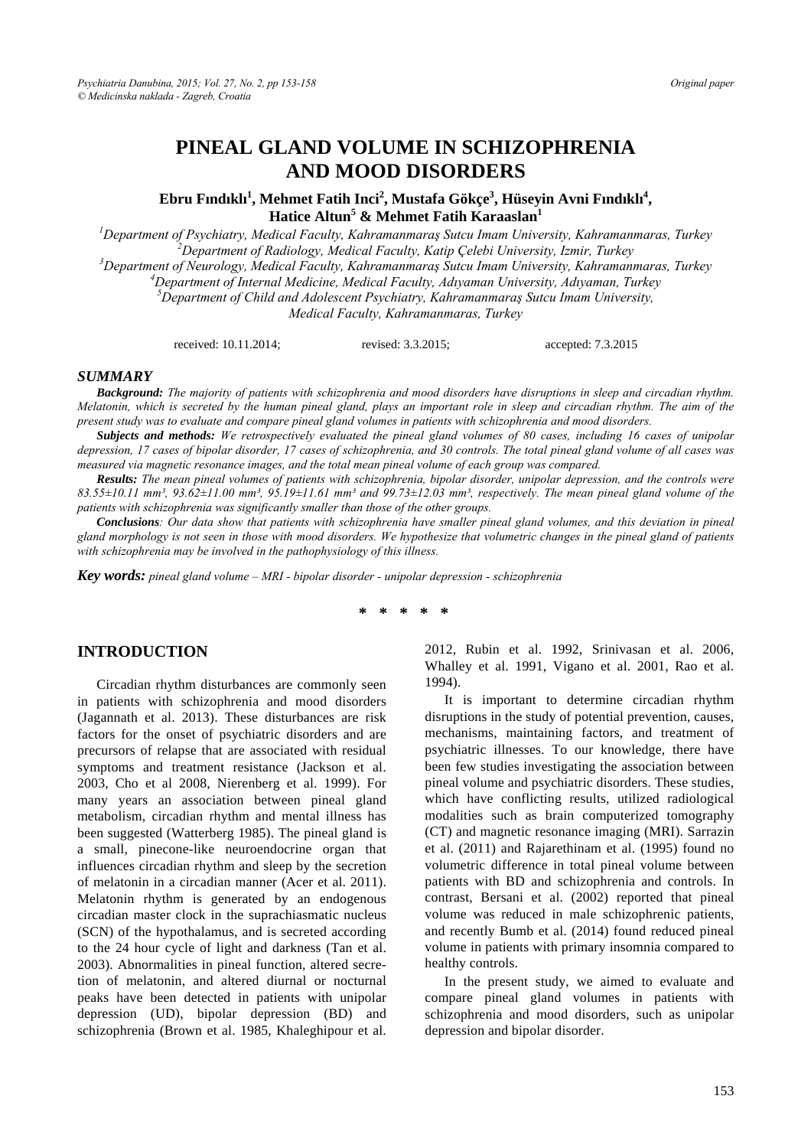# **PINEAL GLAND VOLUME IN SCHIZOPHRENIA AND MOOD DISORDERS**

 $\bf{E}$ bru Fındıklı<sup>1</sup>, Mehmet Fatih Inci<sup>2</sup>, Mustafa Gökçe<sup>3</sup>, Hüseyin Avni Fındıklı<sup>4</sup>, **Hatice Altun<sup>5</sup> & Mehmet Fatih Karaaslan<sup>1</sup>**

*1 Department of Psychiatry, Medical Faculty, Kahramanmaraş Sutcu Imam University, Kahramanmaras, Turkey 2* <sup>2</sup> Department of Radiology, Medical Faculty, Katip Çelebi University, Izmir, Turkey *Department of Neurology, Medical Faculty, Kahramanmaraş Sutcu Imam University, Kahramanmaras, Turkey 4* <sup>4</sup>Department of Internal Medicine, Medical Faculty, Adıyaman University, Adıyaman, Turkey *Department of Child and Adolescent Psychiatry, Kahramanmaraş Sutcu Imam University, Medical Faculty, Kahramanmaras, Turkey* 

received: 10.11.2014; revised: 3.3.2015; accepted: 7.3.2015

#### *SUMMARY*

*Background: The majority of patients with schizophrenia and mood disorders have disruptions in sleep and circadian rhythm. Melatonin, which is secreted by the human pineal gland, plays an important role in sleep and circadian rhythm. The aim of the present study was to evaluate and compare pineal gland volumes in patients with schizophrenia and mood disorders.* 

*Subjects and methods: We retrospectively evaluated the pineal gland volumes of 80 cases, including 16 cases of unipolar depression, 17 cases of bipolar disorder, 17 cases of schizophrenia, and 30 controls. The total pineal gland volume of all cases was measured via magnetic resonance images, and the total mean pineal volume of each group was compared.* 

*Results: The mean pineal volumes of patients with schizophrenia, bipolar disorder, unipolar depression, and the controls were*   $83.55\pm10.11$  mm<sup>3</sup>,  $93.62\pm11.00$  mm<sup>3</sup>,  $95.19\pm11.61$  mm<sup>3</sup> and  $99.73\pm12.03$  mm<sup>3</sup>, respectively. The mean pineal gland volume of the *patients with schizophrenia was significantly smaller than those of the other groups.* 

*Conclusions: Our data show that patients with schizophrenia have smaller pineal gland volumes, and this deviation in pineal gland morphology is not seen in those with mood disorders. We hypothesize that volumetric changes in the pineal gland of patients with schizophrenia may be involved in the pathophysiology of this illness.* 

*Key words: pineal gland volume – MRI - bipolar disorder - unipolar depression - schizophrenia* 

**\* \* \* \* \*** 

### **INTRODUCTION**

Circadian rhythm disturbances are commonly seen in patients with schizophrenia and mood disorders (Jagannath et al. 2013). These disturbances are risk factors for the onset of psychiatric disorders and are precursors of relapse that are associated with residual symptoms and treatment resistance (Jackson et al. 2003, Cho et al 2008, Nierenberg et al. 1999). For many years an association between pineal gland metabolism, circadian rhythm and mental illness has been suggested (Watterberg 1985). The pineal gland is a small, pinecone-like neuroendocrine organ that influences circadian rhythm and sleep by the secretion of melatonin in a circadian manner (Acer et al. 2011). Melatonin rhythm is generated by an endogenous circadian master clock in the suprachiasmatic nucleus (SCN) of the hypothalamus, and is secreted according to the 24 hour cycle of light and darkness (Tan et al. 2003). Abnormalities in pineal function, altered secretion of melatonin, and altered diurnal or nocturnal peaks have been detected in patients with unipolar depression (UD), bipolar depression (BD) and schizophrenia (Brown et al. 1985, Khaleghipour et al.

2012, Rubin et al. 1992, Srinivasan et al. 2006, Whalley et al. 1991, Vigano et al. 2001, Rao et al. 1994).

It is important to determine circadian rhythm disruptions in the study of potential prevention, causes, mechanisms, maintaining factors, and treatment of psychiatric illnesses. To our knowledge, there have been few studies investigating the association between pineal volume and psychiatric disorders. These studies, which have conflicting results, utilized radiological modalities such as brain computerized tomography (CT) and magnetic resonance imaging (MRI). Sarrazin et al. (2011) and Rajarethinam et al. (1995) found no volumetric difference in total pineal volume between patients with BD and schizophrenia and controls. In contrast, Bersani et al. (2002) reported that pineal volume was reduced in male schizophrenic patients, and recently Bumb et al. (2014) found reduced pineal volume in patients with primary insomnia compared to healthy controls.

In the present study, we aimed to evaluate and compare pineal gland volumes in patients with schizophrenia and mood disorders, such as unipolar depression and bipolar disorder.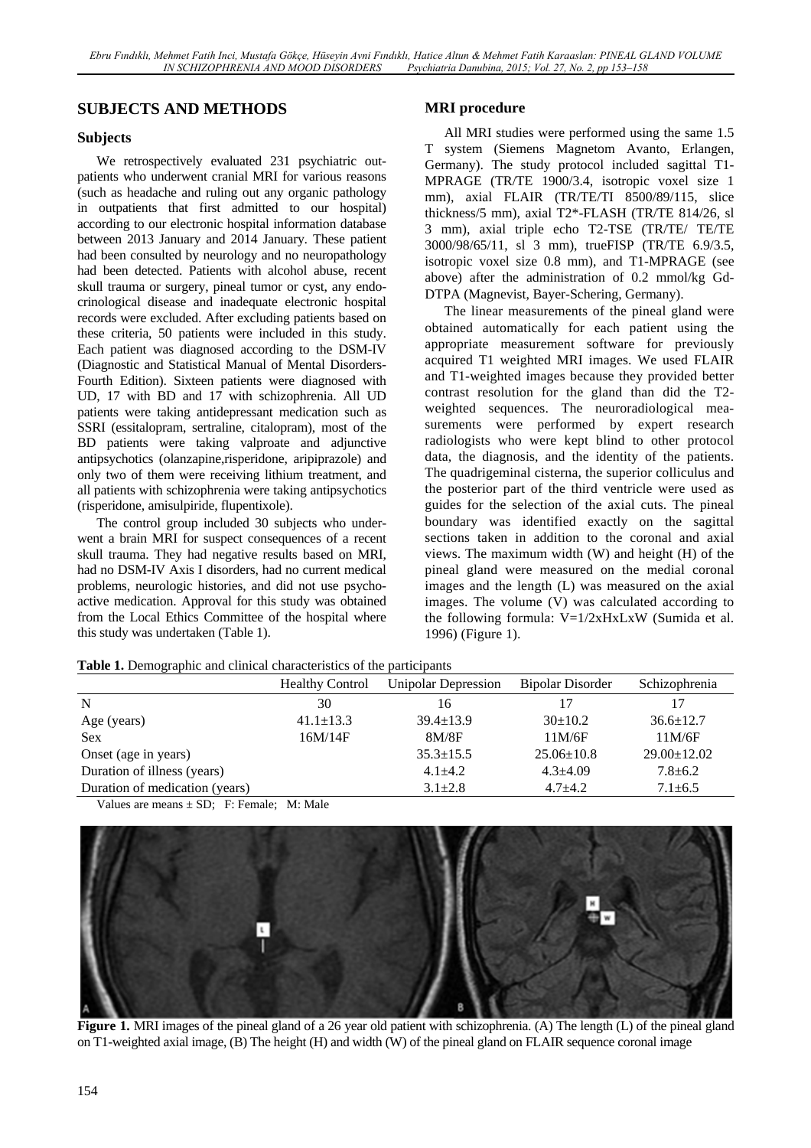# **SUBJECTS AND METHODS**

### **Subjects**

We retrospectively evaluated 231 psychiatric outpatients who underwent cranial MRI for various reasons (such as headache and ruling out any organic pathology in outpatients that first admitted to our hospital) according to our electronic hospital information database between 2013 January and 2014 January. These patient had been consulted by neurology and no neuropathology had been detected. Patients with alcohol abuse, recent skull trauma or surgery, pineal tumor or cyst, any endocrinological disease and inadequate electronic hospital records were excluded. After excluding patients based on these criteria, 50 patients were included in this study. Each patient was diagnosed according to the DSM-IV (Diagnostic and Statistical Manual of Mental Disorders-Fourth Edition). Sixteen patients were diagnosed with UD, 17 with BD and 17 with schizophrenia. All UD patients were taking antidepressant medication such as SSRI (essitalopram, sertraline, citalopram), most of the BD patients were taking valproate and adjunctive antipsychotics (olanzapine,risperidone, aripiprazole) and only two of them were receiving lithium treatment, and all patients with schizophrenia were taking antipsychotics (risperidone, amisulpiride, flupentixole).

The control group included 30 subjects who underwent a brain MRI for suspect consequences of a recent skull trauma. They had negative results based on MRI, had no DSM-IV Axis I disorders, had no current medical problems, neurologic histories, and did not use psychoactive medication. Approval for this study was obtained from the Local Ethics Committee of the hospital where this study was undertaken (Table 1).

### **MRI procedure**

All MRI studies were performed using the same 1.5 T system (Siemens Magnetom Avanto, Erlangen, Germany). The study protocol included sagittal T1- MPRAGE (TR/TE 1900/3.4, isotropic voxel size 1 mm), axial FLAIR (TR/TE/TI 8500/89/115, slice thickness/5 mm), axial T2\*-FLASH (TR/TE 814/26, sl 3 mm), axial triple echo T2-TSE (TR/TE/ TE/TE 3000/98/65/11, sl 3 mm), trueFISP (TR/TE 6.9/3.5, isotropic voxel size 0.8 mm), and T1-MPRAGE (see above) after the administration of 0.2 mmol/kg Gd-DTPA (Magnevist, Bayer-Schering, Germany).

The linear measurements of the pineal gland were obtained automatically for each patient using the appropriate measurement software for previously acquired T1 weighted MRI images. We used FLAIR and T1-weighted images because they provided better contrast resolution for the gland than did the T2 weighted sequences. The neuroradiological measurements were performed by expert research radiologists who were kept blind to other protocol data, the diagnosis, and the identity of the patients. The quadrigeminal cisterna, the superior colliculus and the posterior part of the third ventricle were used as guides for the selection of the axial cuts. The pineal boundary was identified exactly on the sagittal sections taken in addition to the coronal and axial views. The maximum width (W) and height (H) of the pineal gland were measured on the medial coronal images and the length (L) was measured on the axial images. The volume (V) was calculated according to the following formula: V=1/2xHxLxW (Sumida et al. 1996) (Figure 1).

| <b>Table 1.</b> Demographic and emilical emaracteristics of the participants |                        |                     |                  |                   |  |  |
|------------------------------------------------------------------------------|------------------------|---------------------|------------------|-------------------|--|--|
|                                                                              | <b>Healthy Control</b> | Unipolar Depression | Bipolar Disorder | Schizophrenia     |  |  |
| N                                                                            | 30                     | 16                  | 17               | 17                |  |  |
| Age (years)                                                                  | $41.1 \pm 13.3$        | $39.4 \pm 13.9$     | $30\pm10.2$      | $36.6 \pm 12.7$   |  |  |
| <b>Sex</b>                                                                   | 16M/14F                | 8M/8F               | 11M/6F           | 11M/6F            |  |  |
| Onset (age in years)                                                         |                        | $35.3 \pm 15.5$     | $25.06 \pm 10.8$ | $29.00 \pm 12.02$ |  |  |
| Duration of illness (years)                                                  |                        | $4.1 \pm 4.2$       | $4.3 + 4.09$     | $7.8 \pm 6.2$     |  |  |
| Duration of medication (years)                                               |                        | $3.1 \pm 2.8$       | $4.7 + 4.2$      | $7.1 \pm 6.5$     |  |  |

**Table 1.** Demographic and clinical characteristics of the participants

Values are means  $\pm$  SD; F: Female: M: Male



**Figure 1.** MRI images of the pineal gland of a 26 year old patient with schizophrenia. (A) The length (L) of the pineal gland on T1-weighted axial image, (B) The height (H) and width (W) of the pineal gland on FLAIR sequence coronal image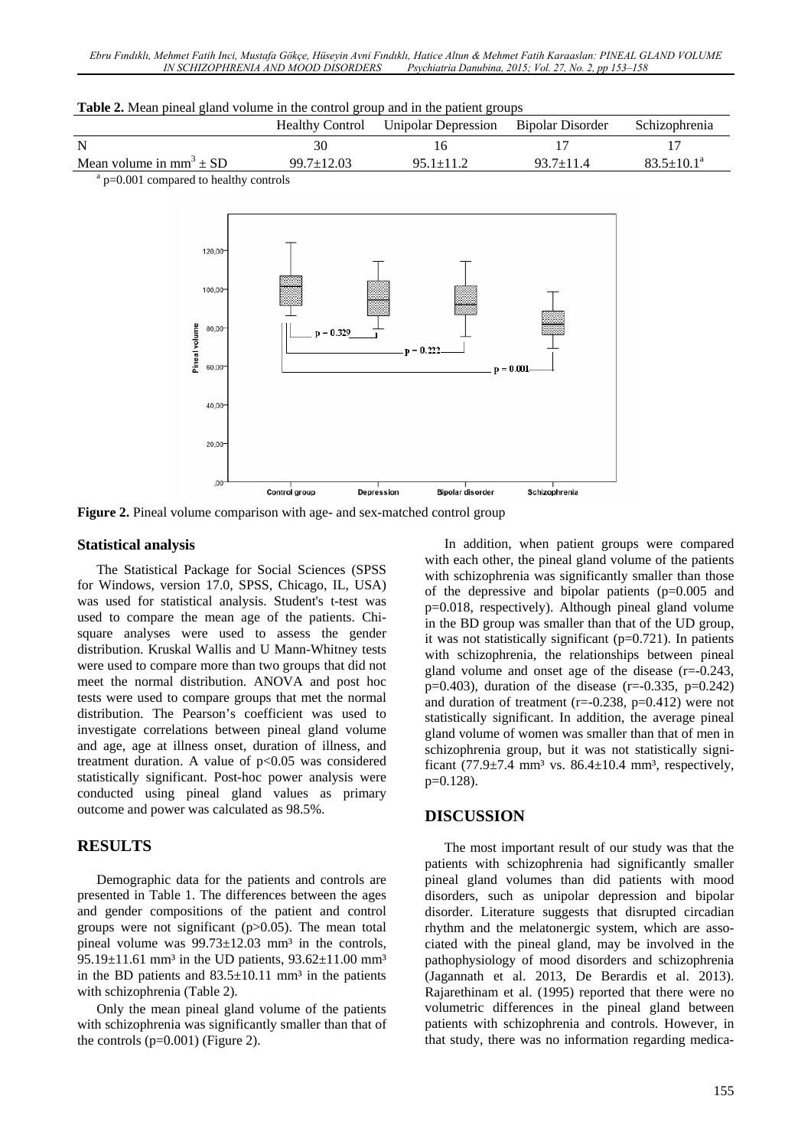| Twore It rives prives giving colemn in the control group ente in the pearent group. |                  |                                                      |                 |                       |  |  |
|-------------------------------------------------------------------------------------|------------------|------------------------------------------------------|-----------------|-----------------------|--|--|
|                                                                                     |                  | Healthy Control Unipolar Depression Bipolar Disorder |                 | <b>Schizophrenia</b>  |  |  |
| -N                                                                                  |                  |                                                      |                 |                       |  |  |
| Mean volume in mm <sup>3</sup> $\pm$ SD                                             | $99.7 \pm 12.03$ | $95.1 + 11.2$                                        | $93.7 \pm 11.4$ | $83.5 + 10.1^{\circ}$ |  |  |
| .                                                                                   |                  |                                                      |                 |                       |  |  |

**Table 2.** Mean pineal gland volume in the control group and in the patient groups

<sup>a</sup> p=0.001 compared to healthy controls



**Figure 2.** Pineal volume comparison with age- and sex-matched control group

#### **Statistical analysis**

The Statistical Package for Social Sciences (SPSS for Windows, version 17.0, SPSS, Chicago, IL, USA) was used for statistical analysis. Student's t-test was used to compare the mean age of the patients. Chisquare analyses were used to assess the gender distribution. Kruskal Wallis and U Mann-Whitney tests were used to compare more than two groups that did not meet the normal distribution. ANOVA and post hoc tests were used to compare groups that met the normal distribution. The Pearson's coefficient was used to investigate correlations between pineal gland volume and age, age at illness onset, duration of illness, and treatment duration. A value of  $p<0.05$  was considered statistically significant. Post-hoc power analysis were conducted using pineal gland values as primary outcome and power was calculated as 98.5%.

# **RESULTS**

Demographic data for the patients and controls are presented in Table 1. The differences between the ages and gender compositions of the patient and control groups were not significant  $(p>0.05)$ . The mean total pineal volume was  $99.73 \pm 12.03$  mm<sup>3</sup> in the controls, 95.19 $\pm$ 11.61 mm<sup>3</sup> in the UD patients, 93.62 $\pm$ 11.00 mm<sup>3</sup> in the BD patients and  $83.5 \pm 10.11$  mm<sup>3</sup> in the patients with schizophrenia (Table 2).

Only the mean pineal gland volume of the patients with schizophrenia was significantly smaller than that of the controls  $(p=0.001)$  (Figure 2).

In addition, when patient groups were compared with each other, the pineal gland volume of the patients with schizophrenia was significantly smaller than those of the depressive and bipolar patients (p=0.005 and p=0.018, respectively). Although pineal gland volume in the BD group was smaller than that of the UD group, it was not statistically significant  $(p=0.721)$ . In patients with schizophrenia, the relationships between pineal gland volume and onset age of the disease (r=-0.243, p=0.403), duration of the disease  $(r=0.335, p=0.242)$ and duration of treatment ( $r=-0.238$ ,  $p=0.412$ ) were not statistically significant. In addition, the average pineal gland volume of women was smaller than that of men in schizophrenia group, but it was not statistically significant  $(77.9\pm7.4 \text{ mm}^3 \text{ vs. } 86.4\pm10.4 \text{ mm}^3 \text{, respectively},$ p=0.128).

## **DISCUSSION**

The most important result of our study was that the patients with schizophrenia had significantly smaller pineal gland volumes than did patients with mood disorders, such as unipolar depression and bipolar disorder. Literature suggests that disrupted circadian rhythm and the melatonergic system, which are associated with the pineal gland, may be involved in the pathophysiology of mood disorders and schizophrenia (Jagannath et al. 2013, De Berardis et al. 2013). Rajarethinam et al. (1995) reported that there were no volumetric differences in the pineal gland between patients with schizophrenia and controls. However, in that study, there was no information regarding medica-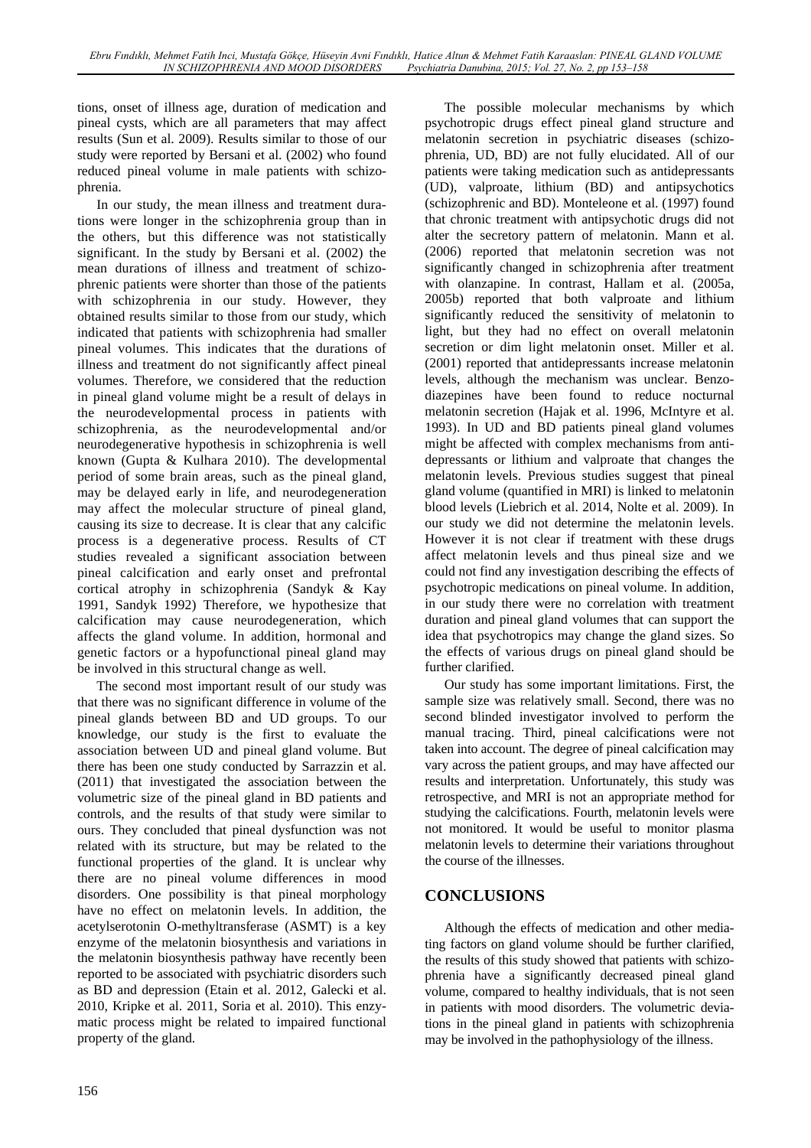tions, onset of illness age, duration of medication and pineal cysts, which are all parameters that may affect results (Sun et al. 2009). Results similar to those of our study were reported by Bersani et al. (2002) who found reduced pineal volume in male patients with schizophrenia.

In our study, the mean illness and treatment durations were longer in the schizophrenia group than in the others, but this difference was not statistically significant. In the study by Bersani et al. (2002) the mean durations of illness and treatment of schizophrenic patients were shorter than those of the patients with schizophrenia in our study. However, they obtained results similar to those from our study, which indicated that patients with schizophrenia had smaller pineal volumes. This indicates that the durations of illness and treatment do not significantly affect pineal volumes. Therefore, we considered that the reduction in pineal gland volume might be a result of delays in the neurodevelopmental process in patients with schizophrenia, as the neurodevelopmental and/or neurodegenerative hypothesis in schizophrenia is well known (Gupta & Kulhara 2010). The developmental period of some brain areas, such as the pineal gland, may be delayed early in life, and neurodegeneration may affect the molecular structure of pineal gland, causing its size to decrease. It is clear that any calcific process is a degenerative process. Results of CT studies revealed a significant association between pineal calcification and early onset and prefrontal cortical atrophy in schizophrenia (Sandyk & Kay 1991, Sandyk 1992) Therefore, we hypothesize that calcification may cause neurodegeneration, which affects the gland volume. In addition, hormonal and genetic factors or a hypofunctional pineal gland may be involved in this structural change as well.

The second most important result of our study was that there was no significant difference in volume of the pineal glands between BD and UD groups. To our knowledge, our study is the first to evaluate the association between UD and pineal gland volume. But there has been one study conducted by Sarrazzin et al. (2011) that investigated the association between the volumetric size of the pineal gland in BD patients and controls, and the results of that study were similar to ours. They concluded that pineal dysfunction was not related with its structure, but may be related to the functional properties of the gland. It is unclear why there are no pineal volume differences in mood disorders. One possibility is that pineal morphology have no effect on melatonin levels. In addition, the acetylserotonin O-methyltransferase (ASMT) is a key enzyme of the melatonin biosynthesis and variations in the melatonin biosynthesis pathway have recently been reported to be associated with psychiatric disorders such as BD and depression (Etain et al. 2012, Galecki et al. 2010, Kripke et al. 2011, Soria et al. 2010). This enzymatic process might be related to impaired functional property of the gland.

melatonin secretion in psychiatric diseases (schizophrenia, UD, BD) are not fully elucidated. All of our patients were taking medication such as antidepressants (UD), valproate, lithium (BD) and antipsychotics (schizophrenic and BD). Monteleone et al. (1997) found that chronic treatment with antipsychotic drugs did not alter the secretory pattern of melatonin. Mann et al. (2006) reported that melatonin secretion was not significantly changed in schizophrenia after treatment with olanzapine. In contrast, Hallam et al. (2005a, 2005b) reported that both valproate and lithium significantly reduced the sensitivity of melatonin to light, but they had no effect on overall melatonin secretion or dim light melatonin onset. Miller et al. (2001) reported that antidepressants increase melatonin levels, although the mechanism was unclear. Benzodiazepines have been found to reduce nocturnal melatonin secretion (Hajak et al. 1996, McIntyre et al. 1993). In UD and BD patients pineal gland volumes might be affected with complex mechanisms from antidepressants or lithium and valproate that changes the melatonin levels. Previous studies suggest that pineal gland volume (quantified in MRI) is linked to melatonin blood levels (Liebrich et al. 2014, Nolte et al. 2009). In our study we did not determine the melatonin levels. However it is not clear if treatment with these drugs affect melatonin levels and thus pineal size and we could not find any investigation describing the effects of psychotropic medications on pineal volume. In addition, in our study there were no correlation with treatment duration and pineal gland volumes that can support the idea that psychotropics may change the gland sizes. So the effects of various drugs on pineal gland should be further clarified. Our study has some important limitations. First, the sample size was relatively small. Second, there was no

The possible molecular mechanisms by which psychotropic drugs effect pineal gland structure and

second blinded investigator involved to perform the manual tracing. Third, pineal calcifications were not taken into account. The degree of pineal calcification may vary across the patient groups, and may have affected our results and interpretation. Unfortunately, this study was retrospective, and MRI is not an appropriate method for studying the calcifications. Fourth, melatonin levels were not monitored. It would be useful to monitor plasma melatonin levels to determine their variations throughout the course of the illnesses.

# **CONCLUSIONS**

Although the effects of medication and other mediating factors on gland volume should be further clarified, the results of this study showed that patients with schizophrenia have a significantly decreased pineal gland volume, compared to healthy individuals, that is not seen in patients with mood disorders. The volumetric deviations in the pineal gland in patients with schizophrenia may be involved in the pathophysiology of the illness.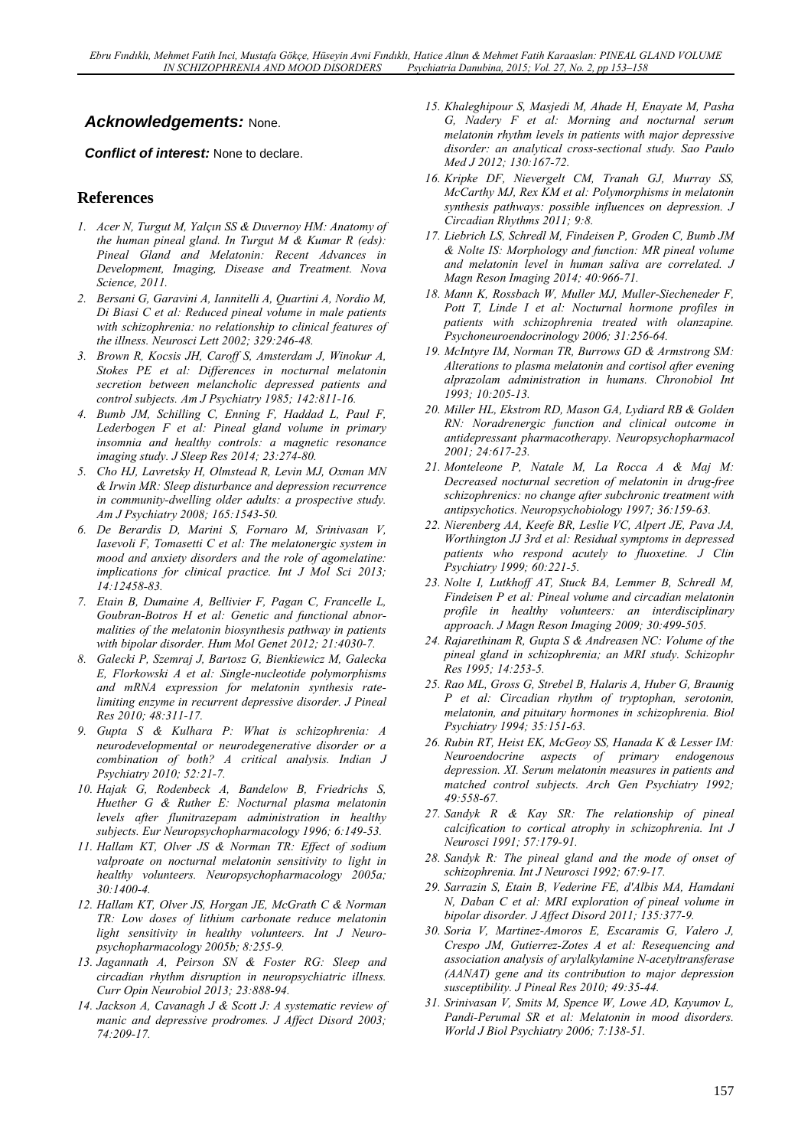# *Acknowledgements:* None.

*Conflict of interest:* None to declare.

## **References**

- *1. Acer N, Turgut M, Yalçın SS & Duvernoy HM: Anatomy of the human pineal gland. In Turgut M & Kumar R (eds): Pineal Gland and Melatonin: Recent Advances in Development, Imaging, Disease and Treatment. Nova Science, 2011.*
- *2. Bersani G, Garavini A, Iannitelli A, Quartini A, Nordio M, Di Biasi C et al: Reduced pineal volume in male patients with schizophrenia: no relationship to clinical features of the illness. Neurosci Lett 2002; 329:246-48.*
- *3. Brown R, Kocsis JH, Caroff S, Amsterdam J, Winokur A, Stokes PE et al: Differences in nocturnal melatonin secretion between melancholic depressed patients and control subjects. Am J Psychiatry 1985; 142:811-16.*
- *4. Bumb JM, Schilling C, Enning F, Haddad L, Paul F, Lederbogen F et al: Pineal gland volume in primary insomnia and healthy controls: a magnetic resonance imaging study. J Sleep Res 2014; 23:274-80.*
- *5. Cho HJ, Lavretsky H, Olmstead R, Levin MJ, Oxman MN & Irwin MR: Sleep disturbance and depression recurrence in community-dwelling older adults: a prospective study. Am J Psychiatry 2008; 165:1543-50.*
- *6. De Berardis D, Marini S, Fornaro M, Srinivasan V, Iasevoli F, Tomasetti C et al: The melatonergic system in mood and anxiety disorders and the role of agomelatine: implications for clinical practice. Int J Mol Sci 2013; 14:12458-83.*
- *7. Etain B, Dumaine A, Bellivier F, Pagan C, Francelle L, Goubran-Botros H et al: Genetic and functional abnormalities of the melatonin biosynthesis pathway in patients with bipolar disorder. Hum Mol Genet 2012; 21:4030-7.*
- *8. Galecki P, Szemraj J, Bartosz G, Bienkiewicz M, Galecka E, Florkowski A et al: Single-nucleotide polymorphisms and mRNA expression for melatonin synthesis ratelimiting enzyme in recurrent depressive disorder. J Pineal Res 2010; 48:311-17.*
- *9. Gupta S & Kulhara P: What is schizophrenia: A neurodevelopmental or neurodegenerative disorder or a combination of both? A critical analysis. Indian J Psychiatry 2010; 52:21-7.*
- *10. Hajak G, Rodenbeck A, Bandelow B, Friedrichs S, Huether G & Ruther E: Nocturnal plasma melatonin levels after flunitrazepam administration in healthy subjects. Eur Neuropsychopharmacology 1996; 6:149-53.*
- *11. Hallam KT, Olver JS & Norman TR: Effect of sodium valproate on nocturnal melatonin sensitivity to light in healthy volunteers. Neuropsychopharmacology 2005a; 30:1400-4.*
- *12. Hallam KT, Olver JS, Horgan JE, McGrath C & Norman TR: Low doses of lithium carbonate reduce melatonin light sensitivity in healthy volunteers. Int J Neuropsychopharmacology 2005b; 8:255-9.*
- *13. Jagannath A, Peirson SN & Foster RG: Sleep and circadian rhythm disruption in neuropsychiatric illness. Curr Opin Neurobiol 2013; 23:888-94.*
- *14. Jackson A, Cavanagh J & Scott J: A systematic review of manic and depressive prodromes. J Affect Disord 2003; 74:209-17.*
- *15. Khaleghipour S, Masjedi M, Ahade H, Enayate M, Pasha G, Nadery F et al: Morning and nocturnal serum melatonin rhythm levels in patients with major depressive disorder: an analytical cross-sectional study. Sao Paulo Med J 2012; 130:167-72.*
- *16. Kripke DF, Nievergelt CM, Tranah GJ, Murray SS, McCarthy MJ, Rex KM et al: Polymorphisms in melatonin synthesis pathways: possible influences on depression. J Circadian Rhythms 2011; 9:8.*
- *17. Liebrich LS, Schredl M, Findeisen P, Groden C, Bumb JM & Nolte IS: Morphology and function: MR pineal volume and melatonin level in human saliva are correlated. J Magn Reson Imaging 2014; 40:966-71.*
- *18. Mann K, Rossbach W, Muller MJ, Muller-Siecheneder F, Pott T, Linde I et al: Nocturnal hormone profiles in patients with schizophrenia treated with olanzapine. Psychoneuroendocrinology 2006; 31:256-64.*
- *19. McIntyre IM, Norman TR, Burrows GD & Armstrong SM: Alterations to plasma melatonin and cortisol after evening alprazolam administration in humans. Chronobiol Int 1993; 10:205-13.*
- *20. Miller HL, Ekstrom RD, Mason GA, Lydiard RB & Golden RN: Noradrenergic function and clinical outcome in antidepressant pharmacotherapy. Neuropsychopharmacol 2001; 24:617-23.*
- *21. Monteleone P, Natale M, La Rocca A & Maj M: Decreased nocturnal secretion of melatonin in drug-free schizophrenics: no change after subchronic treatment with antipsychotics. Neuropsychobiology 1997; 36:159-63.*
- *22. Nierenberg AA, Keefe BR, Leslie VC, Alpert JE, Pava JA, Worthington JJ 3rd et al: Residual symptoms in depressed patients who respond acutely to fluoxetine. J Clin Psychiatry 1999; 60:221-5.*
- *23. Nolte I, Lutkhoff AT, Stuck BA, Lemmer B, Schredl M, Findeisen P et al: Pineal volume and circadian melatonin profile in healthy volunteers: an interdisciplinary approach. J Magn Reson Imaging 2009; 30:499-505.*
- *24. Rajarethinam R, Gupta S & Andreasen NC: Volume of the pineal gland in schizophrenia; an MRI study. Schizophr Res 1995; 14:253-5.*
- *25. Rao ML, Gross G, Strebel B, Halaris A, Huber G, Braunig P et al: Circadian rhythm of tryptophan, serotonin, melatonin, and pituitary hormones in schizophrenia. Biol Psychiatry 1994; 35:151-63.*
- *26. Rubin RT, Heist EK, McGeoy SS, Hanada K & Lesser IM: Neuroendocrine aspects of primary endogenous depression. XI. Serum melatonin measures in patients and matched control subjects. Arch Gen Psychiatry 1992; 49:558-67.*
- *27. Sandyk R & Kay SR: The relationship of pineal calcification to cortical atrophy in schizophrenia. Int J Neurosci 1991; 57:179-91.*
- *28. Sandyk R: The pineal gland and the mode of onset of schizophrenia. Int J Neurosci 1992; 67:9-17.*
- *29. Sarrazin S, Etain B, Vederine FE, d'Albis MA, Hamdani N, Daban C et al: MRI exploration of pineal volume in bipolar disorder. J Affect Disord 2011; 135:377-9.*
- *30. Soria V, Martinez-Amoros E, Escaramis G, Valero J, Crespo JM, Gutierrez-Zotes A et al: Resequencing and association analysis of arylalkylamine N-acetyltransferase (AANAT) gene and its contribution to major depression susceptibility. J Pineal Res 2010; 49:35-44.*
- *31. Srinivasan V, Smits M, Spence W, Lowe AD, Kayumov L, Pandi-Perumal SR et al: Melatonin in mood disorders. World J Biol Psychiatry 2006; 7:138-51.*